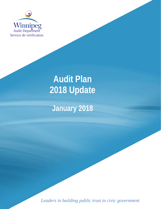

# **Audit Plan 2018 Update**

## **January 2018**

*Leaders in building public trust in civic government*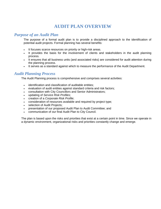### **AUDIT PLAN OVERVIEW**

#### *Purpose of an Audit Plan*

The purpose of a formal audit plan is to provide a disciplined approach to the identification of potential audit projects. Formal planning has several benefits:

- It focuses scarce resources on priority or high-risk areas.
- It provides the basis for the involvement of clients and stakeholders in the audit planning process.
- It ensures that all business units (and associated risks) are considered for audit attention during the planning process.
- It serves as a standard against which to measure the performance of the Audit Department.

#### *Audit Planning Process*

The Audit Planning process is comprehensive and comprises several activities:

- identification and classification of auditable entities;
- evaluation of audit entities against standard criteria and risk factors;
- consultation with City Councillors and Senior Administrators;
- updating of *Service Risk Profiles*;
- creation of a *Corporate Risk Profile*;
- consideration of resources available and required by project type;
- selection of Audit Projects;
- presentation of our proposed Audit Plan to Audit Committee; and
- communication of our final Audit Plan to City Council.

The plan is based upon the risks and priorities that exist at a certain point in time. Since we operate in a dynamic environment, organizational risks and priorities constantly change and emerge.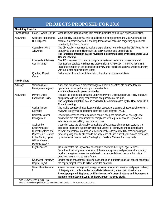| <b>PROJECTS PROPOSED FOR 2018</b>                                                                                                |                                                                                                                                                             |                                                                                                                                                                                                                                                                                                                                                                                                                                                                |
|----------------------------------------------------------------------------------------------------------------------------------|-------------------------------------------------------------------------------------------------------------------------------------------------------------|----------------------------------------------------------------------------------------------------------------------------------------------------------------------------------------------------------------------------------------------------------------------------------------------------------------------------------------------------------------------------------------------------------------------------------------------------------------|
| <b>Mandatory Projects</b>                                                                                                        |                                                                                                                                                             |                                                                                                                                                                                                                                                                                                                                                                                                                                                                |
| Investigations                                                                                                                   | Fraud & Waste Hotline                                                                                                                                       | Conduct investigations arising from reports submitted to the Fraud and Waste Hotline.                                                                                                                                                                                                                                                                                                                                                                          |
| Assurance                                                                                                                        | <b>Collective Agreements</b><br>Due Diligence                                                                                                               | Council policy requires that prior to ratification of an agreement, the City Auditor and the<br>external auditor review the full and long-term costs of collective bargaining agreements<br>reported by the Public Service.                                                                                                                                                                                                                                    |
|                                                                                                                                  | Councillors' Ward<br>Allowance                                                                                                                              | The City Auditor is required to audit the expenditures incurred under the CRA Fund Policy<br>annually to ensure compliance with the policy requirements and principles.<br>The targeted completion date is revised to be communicated by the December 2018<br>Council meeting.                                                                                                                                                                                 |
|                                                                                                                                  | Independent Fairness<br>Commissioner                                                                                                                        | The IFC is required to conduct a compliance review of real estate transactions and<br>management services which require presentation SPCPDHDD. The IFC will submit an<br>independent report on each compliance review prior to political approval and concurrently<br>with the related administrative report.                                                                                                                                                  |
|                                                                                                                                  | <b>Quarterly Report</b><br>Cards                                                                                                                            | Follow-up on the implementation status of past audit recommendations.                                                                                                                                                                                                                                                                                                                                                                                          |
| <b>New Projects</b>                                                                                                              |                                                                                                                                                             |                                                                                                                                                                                                                                                                                                                                                                                                                                                                |
| Advisory                                                                                                                         | Winnipeg Fleet<br>Management Agency                                                                                                                         | Audit staff will perform a project management role to assist WFMA to undertake an<br>operational review performed by a contracted firm.<br>Audit involvement in project cancelled.                                                                                                                                                                                                                                                                             |
| Assurance                                                                                                                        | Mayor's Office<br><b>Expenditure Policy</b>                                                                                                                 | To audit the expenditures incurred under the Mayor's Office Expenditure Policy to ensure<br>compliance with the policy requirements and principles of the fund.<br>The targeted completion date is revised to be communicated by the December 2018<br>Council meeting.                                                                                                                                                                                         |
|                                                                                                                                  | Capital Project<br><b>Estimates</b>                                                                                                                         | The capital budget estimate documentation supporting a sample of new capital projects is<br>reviewed to confirm it supports the identified class estimate (AACE).                                                                                                                                                                                                                                                                                              |
|                                                                                                                                  | Contract / Vendor<br>Management                                                                                                                             | Review processes to ensure contracts contain adequate provisions for oversight, that<br>contractors are held accountable for compliance with requirements and City contract<br>administrators are fulfilling their required roles.                                                                                                                                                                                                                             |
|                                                                                                                                  | Audit of the<br>Effectiveness of<br>Current Systems and<br>Processes in Relation<br>to the Sterling Lyon /<br>William Clement<br>Parkway Study <sup>1</sup> | Council directed the City Auditor to audit the effectiveness of the current systems and<br>processes in place to support city staff and Council for identifying and communicating<br>relevant and material information to decision makers through the City of Winnipeg report<br>process; giving specific attention to the adherence of such current systems and processes<br>by individuals in relation to the Sterling Lyon / William Clement Parkway study. |
|                                                                                                                                  | Legal Services                                                                                                                                              | Council directed the City Auditor to conduct a review of the City's Legal Services<br>Department including an examination of the current systems and processes for pursuing<br>legal action against contractors and develop recommendations to ensure that critical<br>deadlines are not missed in the future.                                                                                                                                                 |
|                                                                                                                                  | Southwest Transitway<br>Capital Project                                                                                                                     | Limited scope engagement to provide assurance on a proactive basis of specific aspects of<br>the capital project. Reports will be submitted quarterly.                                                                                                                                                                                                                                                                                                         |
|                                                                                                                                  | Water Main Renewals<br>2                                                                                                                                    | Assess the asset management, design services, construction services and project delivery<br>of the program to replace and/or rehabilitate deteriorating water main infrastructure.<br>Project postponed. Replaced by Effectiveness of Current Systems and Processes in<br>Relation to the Sterling Lyon / William Clement Parkway Study.                                                                                                                       |
| Note 1: New Addition to Audit Plan.<br>Note 2 - Project Postponed, will be considered for inclusion in the 2019-2020 Audit Plan. |                                                                                                                                                             |                                                                                                                                                                                                                                                                                                                                                                                                                                                                |